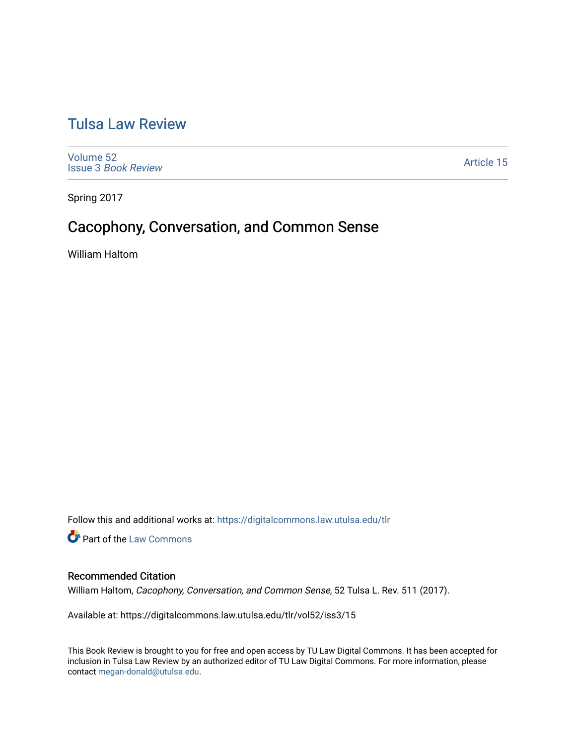# [Tulsa Law Review](https://digitalcommons.law.utulsa.edu/tlr)

[Volume 52](https://digitalcommons.law.utulsa.edu/tlr/vol52) Issue 3 [Book Review](https://digitalcommons.law.utulsa.edu/tlr/vol52/iss3)

[Article 15](https://digitalcommons.law.utulsa.edu/tlr/vol52/iss3/15) 

Spring 2017

# Cacophony, Conversation, and Common Sense

William Haltom

Follow this and additional works at: [https://digitalcommons.law.utulsa.edu/tlr](https://digitalcommons.law.utulsa.edu/tlr?utm_source=digitalcommons.law.utulsa.edu%2Ftlr%2Fvol52%2Fiss3%2F15&utm_medium=PDF&utm_campaign=PDFCoverPages) 

**Part of the [Law Commons](http://network.bepress.com/hgg/discipline/578?utm_source=digitalcommons.law.utulsa.edu%2Ftlr%2Fvol52%2Fiss3%2F15&utm_medium=PDF&utm_campaign=PDFCoverPages)** 

### Recommended Citation

William Haltom, Cacophony, Conversation, and Common Sense, 52 Tulsa L. Rev. 511 (2017).

Available at: https://digitalcommons.law.utulsa.edu/tlr/vol52/iss3/15

This Book Review is brought to you for free and open access by TU Law Digital Commons. It has been accepted for inclusion in Tulsa Law Review by an authorized editor of TU Law Digital Commons. For more information, please contact [megan-donald@utulsa.edu.](mailto:megan-donald@utulsa.edu)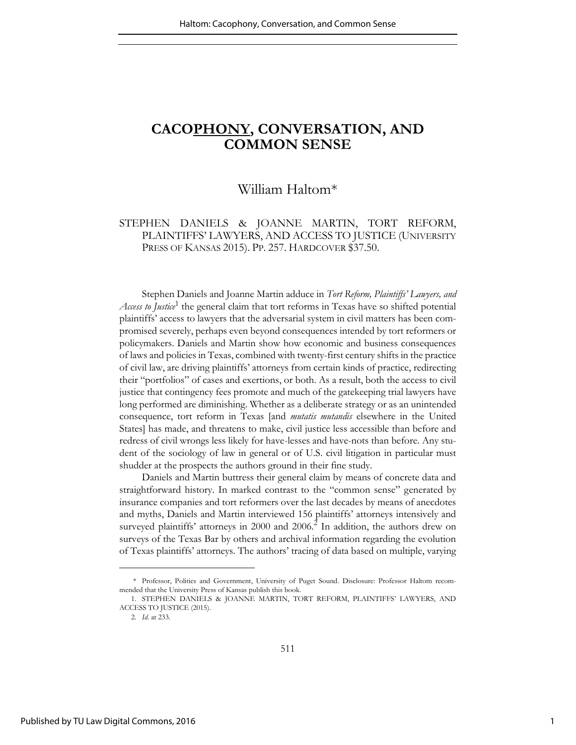## **CACOPHONY, CONVERSATION, AND COMMON SENSE**

## William Haltom\*

### STEPHEN DANIELS & JOANNE MARTIN, TORT REFORM, PLAINTIFFS' LAWYERS, AND ACCESS TO JUSTICE (UNIVERSITY PRESS OF KANSAS 2015). PP. 257. HARDCOVER \$37.50.

Stephen Daniels and Joanne Martin adduce in *Tort Reform, Plaintiffs' Lawyers, and*  Access to Justice<sup>1</sup> the general claim that tort reforms in Texas have so shifted potential plaintiffs' access to lawyers that the adversarial system in civil matters has been compromised severely, perhaps even beyond consequences intended by tort reformers or policymakers. Daniels and Martin show how economic and business consequences of laws and policies in Texas, combined with twenty-first century shifts in the practice of civil law, are driving plaintiffs' attorneys from certain kinds of practice, redirecting their "portfolios" of cases and exertions, or both. As a result, both the access to civil justice that contingency fees promote and much of the gatekeeping trial lawyers have long performed are diminishing. Whether as a deliberate strategy or as an unintended consequence, tort reform in Texas [and *mutatis mutandis* elsewhere in the United States] has made, and threatens to make, civil justice less accessible than before and redress of civil wrongs less likely for have-lesses and have-nots than before. Any student of the sociology of law in general or of U.S. civil litigation in particular must shudder at the prospects the authors ground in their fine study.

Daniels and Martin buttress their general claim by means of concrete data and straightforward history. In marked contrast to the "common sense" generated by insurance companies and tort reformers over the last decades by means of anecdotes and myths, Daniels and Martin interviewed 156 plaintiffs' attorneys intensively and surveyed plaintiffs' attorneys in 2000 and 2006.<sup>2</sup> In addition, the authors drew on surveys of the Texas Bar by others and archival information regarding the evolution of Texas plaintiffs' attorneys. The authors' tracing of data based on multiple, varying

 <sup>\*</sup> Professor, Politics and Government, University of Puget Sound. Disclosure: Professor Haltom recommended that the University Press of Kansas publish this book.

<sup>1.</sup> STEPHEN DANIELS & JOANNE MARTIN, TORT REFORM, PLAINTIFFS' LAWYERS, AND ACCESS TO JUSTICE (2015).

<sup>2.</sup> *Id.* at 233.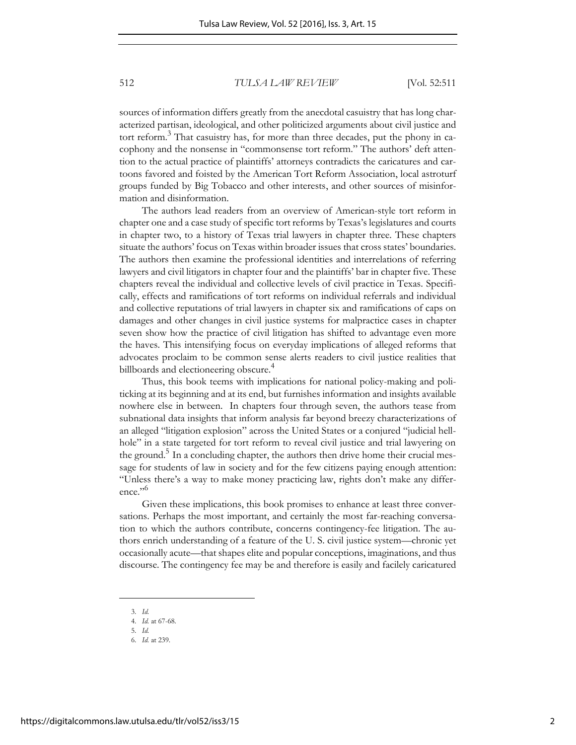512 *TULSA LAW REVIEW* [Vol. 52:511

sources of information differs greatly from the anecdotal casuistry that has long characterized partisan, ideological, and other politicized arguments about civil justice and tort reform.<sup>3</sup> That casuistry has, for more than three decades, put the phony in cacophony and the nonsense in "commonsense tort reform." The authors' deft attention to the actual practice of plaintiffs' attorneys contradicts the caricatures and cartoons favored and foisted by the American Tort Reform Association, local astroturf groups funded by Big Tobacco and other interests, and other sources of misinformation and disinformation.

The authors lead readers from an overview of American-style tort reform in chapter one and a case study of specific tort reforms by Texas's legislatures and courts in chapter two, to a history of Texas trial lawyers in chapter three. These chapters situate the authors' focus on Texas within broader issues that cross states' boundaries. The authors then examine the professional identities and interrelations of referring lawyers and civil litigators in chapter four and the plaintiffs' bar in chapter five. These chapters reveal the individual and collective levels of civil practice in Texas. Specifically, effects and ramifications of tort reforms on individual referrals and individual and collective reputations of trial lawyers in chapter six and ramifications of caps on damages and other changes in civil justice systems for malpractice cases in chapter seven show how the practice of civil litigation has shifted to advantage even more the haves. This intensifying focus on everyday implications of alleged reforms that advocates proclaim to be common sense alerts readers to civil justice realities that billboards and electioneering obscure.<sup>4</sup>

Thus, this book teems with implications for national policy-making and politicking at its beginning and at its end, but furnishes information and insights available nowhere else in between. In chapters four through seven, the authors tease from subnational data insights that inform analysis far beyond breezy characterizations of an alleged "litigation explosion" across the United States or a conjured "judicial hellhole" in a state targeted for tort reform to reveal civil justice and trial lawyering on the ground.<sup>5</sup> In a concluding chapter, the authors then drive home their crucial message for students of law in society and for the few citizens paying enough attention: "Unless there's a way to make money practicing law, rights don't make any difference."<sup>6</sup>

Given these implications, this book promises to enhance at least three conversations. Perhaps the most important, and certainly the most far-reaching conversation to which the authors contribute, concerns contingency-fee litigation. The authors enrich understanding of a feature of the U. S. civil justice system—chronic yet occasionally acute—that shapes elite and popular conceptions, imaginations, and thus discourse. The contingency fee may be and therefore is easily and facilely caricatured

<sup>3.</sup> *Id.*

<sup>4.</sup> *Id.* at 67-68.

<sup>5.</sup> *Id.*

<sup>6.</sup> *Id.* at 239.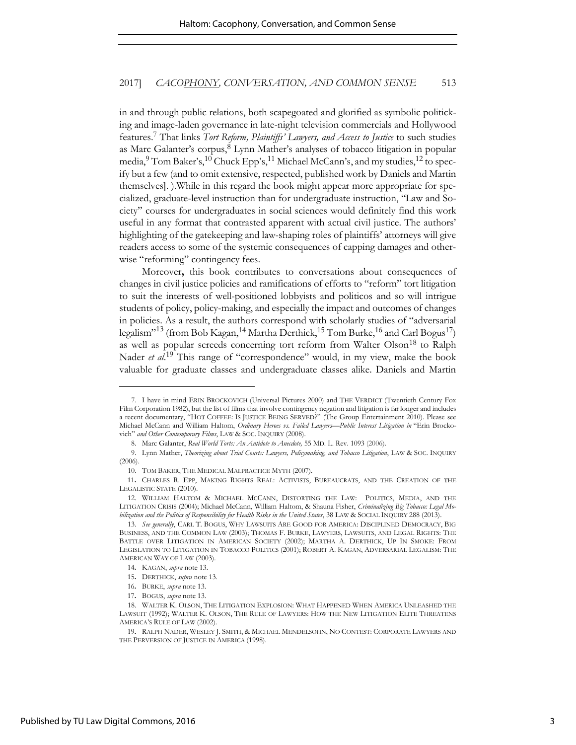#### 2017] *CACOPHONY, CONVERSATION, AND COMMON SENSE* 513

in and through public relations, both scapegoated and glorified as symbolic politicking and image-laden governance in late-night television commercials and Hollywood features.<sup>7</sup> That links *Tort Reform, Plaintiffs' Lawyers, and Access to Justice* to such studies as Marc Galanter's corpus,<sup>8</sup> Lynn Mather's analyses of tobacco litigation in popular media, $^9$  Tom Baker's, $^{10}$  Chuck Epp's, $^{11}$  Michael McCann's, and my studies, $^{12}$  to specify but a few (and to omit extensive, respected, published work by Daniels and Martin themselves]. ).While in this regard the book might appear more appropriate for specialized, graduate-level instruction than for undergraduate instruction, "Law and Society" courses for undergraduates in social sciences would definitely find this work useful in any format that contrasted apparent with actual civil justice. The authors' highlighting of the gatekeeping and law-shaping roles of plaintiffs' attorneys will give readers access to some of the systemic consequences of capping damages and otherwise "reforming" contingency fees.

Moreover**,** this book contributes to conversations about consequences of changes in civil justice policies and ramifications of efforts to "reform" tort litigation to suit the interests of well-positioned lobbyists and politicos and so will intrigue students of policy, policy-making, and especially the impact and outcomes of changes in policies. As a result, the authors correspond with scholarly studies of "adversarial legalism"<sup>13</sup> (from Bob Kagan,<sup>14</sup> Martha Derthick,<sup>15</sup> Tom Burke,<sup>16</sup> and Carl Bogus<sup>17</sup>) as well as popular screeds concerning tort reform from Walter Olson<sup>18</sup> to Ralph Nader *et al.*<sup>19</sup> This range of "correspondence" would, in my view, make the book valuable for graduate classes and undergraduate classes alike. Daniels and Martin

 <sup>7.</sup> I have in mind ERIN BROCKOVICH (Universal Pictures 2000) and THE VERDICT (Twentieth Century Fox Film Corporation 1982), but the list of films that involve contingency negation and litigation is far longer and includes a recent documentary, "HOT COFFEE: IS JUSTICE BEING SERVED?" (The Group Entertainment 2010). Please see Michael McCann and William Haltom, *Ordinary Heroes vs. Failed Lawyers—Public Interest Litigation in* "Erin Brockovich" *and Other Contemporary Films*, LAW & SOC. INQUIRY (2008).

<sup>8.</sup> Marc Galanter, *Real World Torts: An Antidote to Anecdote,* 55 MD. L. Rev. 1093 (2006).

<sup>9.</sup> Lynn Mather, *Theorizing about Trial Courts: Lawyers, Policymaking, and Tobacco Litigation*, LAW & SOC. INQUIRY (2006).

<sup>10.</sup> TOM BAKER, THE MEDICAL MALPRACTICE MYTH (2007).

<sup>11</sup>**.** CHARLES R. EPP, MAKING RIGHTS REAL: ACTIVISTS, BUREAUCRATS, AND THE CREATION OF THE LEGALISTIC STATE (2010).

<sup>12.</sup> WILLIAM HALTOM & MICHAEL MCCANN, DISTORTING THE LAW: POLITICS, MEDIA, AND THE LITIGATION CRISIS (2004); Michael McCann, William Haltom, & Shauna Fisher, *Criminalizing Big Tobacco: Legal Mobilization and the Politics of Responsibility for Health Risks in the United States*, 38 LAW & SOCIAL INQUIRY 288 (2013).

<sup>13.</sup> *See generally*, CARL T. BOGUS, WHY LAWSUITS ARE GOOD FOR AMERICA: DISCIPLINED DEMOCRACY, BIG BUSINESS, AND THE COMMON LAW (2003); THOMAS F. BURKE, LAWYERS, LAWSUITS, AND LEGAL RIGHTS: THE BATTLE OVER LITIGATION IN AMERICAN SOCIETY (2002); MARTHA A. DERTHICK, UP IN SMOKE: FROM LEGISLATION TO LITIGATION IN TOBACCO POLITICS (2001); ROBERT A. KAGAN, ADVERSARIAL LEGALISM: THE AMERICAN WAY OF LAW (2003).

<sup>14</sup>**.** KAGAN, *supra* note 13.

<sup>15</sup>**.** DERTHICK, *supra* note 13.

<sup>16</sup>**.** BURKE, *supra* note 13.

<sup>17</sup>**.** BOGUS, *supra* note 13.

<sup>18.</sup> WALTER K. OLSON, THE LITIGATION EXPLOSION: WHAT HAPPENED WHEN AMERICA UNLEASHED THE LAWSUIT (1992); WALTER K. OLSON, THE RULE OF LAWYERS: HOW THE NEW L[ITIGATION](http://www.amazon.com/Rule-Lawyers-Litigation-Threatens-Americas-ebook/dp/B000FA65G8/ref=sr_1_5?s=books&ie=UTF8&qid=1399145294&sr=1-5&keywords=walter+olson) ELITE THREATENS A[MERICA](http://www.amazon.com/Rule-Lawyers-Litigation-Threatens-Americas-ebook/dp/B000FA65G8/ref=sr_1_5?s=books&ie=UTF8&qid=1399145294&sr=1-5&keywords=walter+olson)'S RULE OF LAW (2002).

<sup>19</sup>**.** RALPH NADER, WESLEY J. SMITH, & MICHAEL MENDELSOHN, NO CONTEST: CORPORATE LAWYERS AND THE PERVERSION OF JUSTICE IN AMERICA (1998).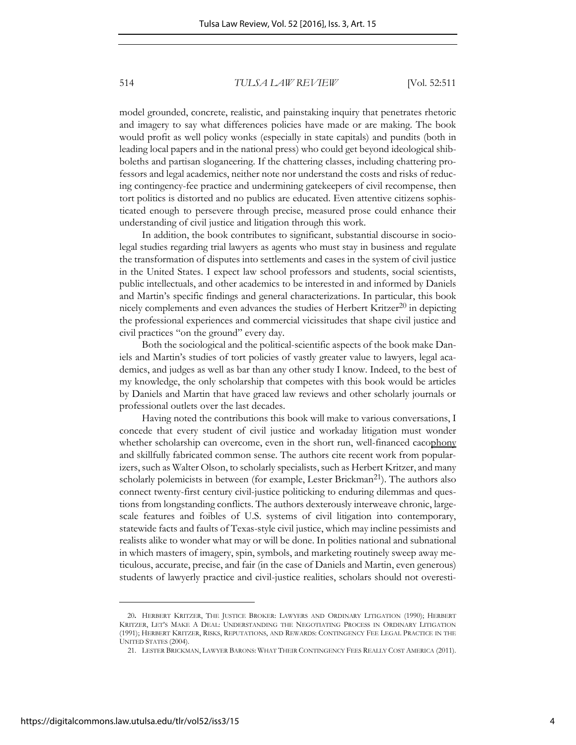514 *TULSA LAW REVIEW* [Vol. 52:511

model grounded, concrete, realistic, and painstaking inquiry that penetrates rhetoric and imagery to say what differences policies have made or are making. The book would profit as well policy wonks (especially in state capitals) and pundits (both in leading local papers and in the national press) who could get beyond ideological shibboleths and partisan sloganeering. If the chattering classes, including chattering professors and legal academics, neither note nor understand the costs and risks of reducing contingency-fee practice and undermining gatekeepers of civil recompense, then tort politics is distorted and no publics are educated. Even attentive citizens sophisticated enough to persevere through precise, measured prose could enhance their understanding of civil justice and litigation through this work.

In addition, the book contributes to significant, substantial discourse in sociolegal studies regarding trial lawyers as agents who must stay in business and regulate the transformation of disputes into settlements and cases in the system of civil justice in the United States. I expect law school professors and students, social scientists, public intellectuals, and other academics to be interested in and informed by Daniels and Martin's specific findings and general characterizations. In particular, this book nicely complements and even advances the studies of Herbert Kritzer<sup>20</sup> in depicting the professional experiences and commercial vicissitudes that shape civil justice and civil practices "on the ground" every day.

Both the sociological and the political-scientific aspects of the book make Daniels and Martin's studies of tort policies of vastly greater value to lawyers, legal academics, and judges as well as bar than any other study I know. Indeed, to the best of my knowledge, the only scholarship that competes with this book would be articles by Daniels and Martin that have graced law reviews and other scholarly journals or professional outlets over the last decades.

Having noted the contributions this book will make to various conversations, I concede that every student of civil justice and workaday litigation must wonder whether scholarship can overcome, even in the short run, well-financed cacophony and skillfully fabricated common sense. The authors cite recent work from popularizers, such as Walter Olson, to scholarly specialists, such as Herbert Kritzer, and many scholarly polemicists in between (for example, Lester Brickman<sup>21</sup>). The authors also connect twenty-first century civil-justice politicking to enduring dilemmas and questions from longstanding conflicts. The authors dexterously interweave chronic, largescale features and foibles of U.S. systems of civil litigation into contemporary, statewide facts and faults of Texas-style civil justice, which may incline pessimists and realists alike to wonder what may or will be done. In polities national and subnational in which masters of imagery, spin, symbols, and marketing routinely sweep away meticulous, accurate, precise, and fair (in the case of Daniels and Martin, even generous) students of lawyerly practice and civil-justice realities, scholars should not overesti-

<sup>20</sup>**.** HERBERT KRITZER, THE JUSTICE BROKER: LAWYERS AND ORDINARY LITIGATION (1990); HERBERT KRITZER, LET'S MAKE A DEAL: UNDERSTANDING THE NEGOTIATING PROCESS IN ORDINARY LITIGATION (1991); HERBERT KRITZER, RISKS, REPUTATIONS, AND REWARDS: CONTINGENCY FEE LEGAL PRACTICE IN THE UNITED STATES (2004).

<sup>21.</sup> LESTER BRICKMAN, LAWYER BARONS: WHAT THEIR CONTINGENCY FEES REALLY COST AMERICA (2011).